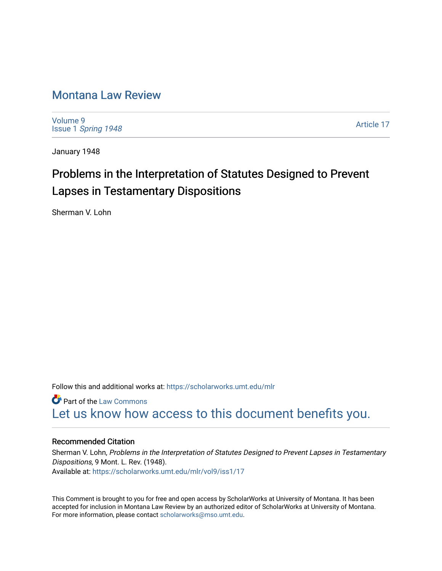# [Montana Law Review](https://scholarworks.umt.edu/mlr)

[Volume 9](https://scholarworks.umt.edu/mlr/vol9) Issue 1 [Spring 1948](https://scholarworks.umt.edu/mlr/vol9/iss1) 

[Article 17](https://scholarworks.umt.edu/mlr/vol9/iss1/17) 

January 1948

# Problems in the Interpretation of Statutes Designed to Prevent Lapses in Testamentary Dispositions

Sherman V. Lohn

Follow this and additional works at: [https://scholarworks.umt.edu/mlr](https://scholarworks.umt.edu/mlr?utm_source=scholarworks.umt.edu%2Fmlr%2Fvol9%2Fiss1%2F17&utm_medium=PDF&utm_campaign=PDFCoverPages) 

**Part of the [Law Commons](http://network.bepress.com/hgg/discipline/578?utm_source=scholarworks.umt.edu%2Fmlr%2Fvol9%2Fiss1%2F17&utm_medium=PDF&utm_campaign=PDFCoverPages)** [Let us know how access to this document benefits you.](https://goo.gl/forms/s2rGfXOLzz71qgsB2) 

# Recommended Citation

Sherman V. Lohn, Problems in the Interpretation of Statutes Designed to Prevent Lapses in Testamentary Dispositions, 9 Mont. L. Rev. (1948). Available at: [https://scholarworks.umt.edu/mlr/vol9/iss1/17](https://scholarworks.umt.edu/mlr/vol9/iss1/17?utm_source=scholarworks.umt.edu%2Fmlr%2Fvol9%2Fiss1%2F17&utm_medium=PDF&utm_campaign=PDFCoverPages) 

This Comment is brought to you for free and open access by ScholarWorks at University of Montana. It has been accepted for inclusion in Montana Law Review by an authorized editor of ScholarWorks at University of Montana. For more information, please contact [scholarworks@mso.umt.edu.](mailto:scholarworks@mso.umt.edu)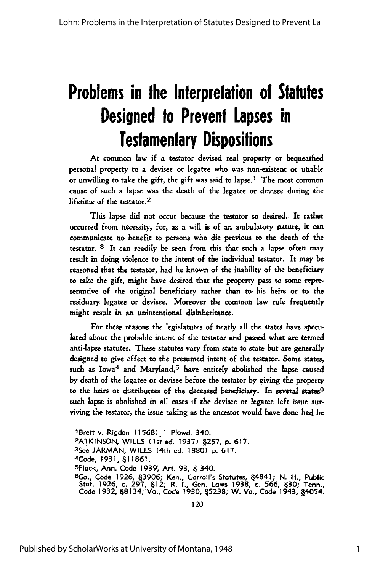# **Problems in the Interpretation of Statutes Designed to Prevent Lapses in Testamentary Dispositions**

At common law if a testator devised real property or bequeathed personal property to a devisee or legatee who was non-existent or unable or unwilling to take the gift, the gift was said to lapse.' The most common cause of such a lapse was the death of the legatee or devisee during the lifetime of the testator.<sup>2</sup>

This lapse did not occur because the testator so desired. It rather occurred from necessity, for, as a will is of an ambulatory nature, it can communicate no benefit to persons who die previous to the death of the testator. **3** It can readily be seen from this that such a lapse often may result in doing violence to the intent of the individual testator. It may **be** reasoned that the testator, had he known of the inability of the beneficiary to take the gift, might have desired that the property pass to some representative of the original beneficiary rather than **to.** his heirs or to the residuary legatee or devisee. Moreover the common law rule frequently might result in an unintentional disinheritance.

For these reasons the legislatures of nearly all the states have speculated about the probable intent of the testator and passed what are termed anti-lapse statutes. These statutes vary from state to state but are generally designed to give effect to the presumed intent of the testator. Some states, such as Iowa<sup>4</sup> and Maryland,<sup>5</sup> have entirely abolished the lapse caused by death of the legatee or devisee before the testator by giving the property to the heirs or distributees of the deceased beneficiary. In several states<sup>6</sup> such lapse is abolished in all cases if the devisee or legatee left issue surviving the testator, the issue taking as the ancestor would have done had he

1Brett v. Rigdon **(1568) 1** Plowd. 340. **2ATKINSON,** WILLS (1st ed. **1937) 257, p. 617.** 3See JARMAN, WILLS (4th ed. **1880) p. 617.** <sup>4</sup> Code, **1931, 11861.** 5 Flack, Ann. Code **1939,** Art. 93, 340. **6Go.,** Code **1926,** 3906; Ken., Carroll's Statutes, 4841; N. H., Public Stat. 1926, c. **297,** 412; R. **I.,** Gen. Laws **1938,** c. 566, 430; Tenn., Code 1932, §8134; Va., Code 1930, §5238; W. Va., Code 1943, §4054

120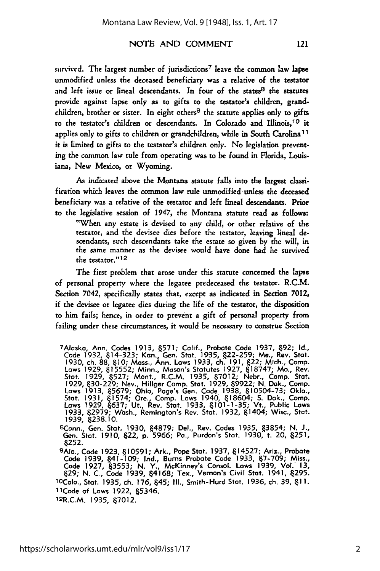121

#### **NOTE** AND COMMENT

survived. The largest number of jurisdictions<sup>7</sup> leave the common law lapse unmodified unless the deceased beneficiary was a relative of the testator and left issue or lineal descendants. In four of the states<sup>8</sup> the statutes provide against lapse only as to gifts to the testator's children, grandchildren, brother or sister. In eight others<sup>9</sup> the statute applies only to gifts to the testator's children or descendants. In Colorado and Ilinois, 10 it applies only to gifts to children or grandchildren, while in South Carolina<sup>11</sup> it is limited to gifts to the testator's children only. No legislation preventing the common law rule from operating was to be found in Florida, Louisiana, New Mexico, or Wyoming.

As indicated above the Montana statute falls into the largest classification which leaves the common law rule unmodified unless the deceased beneficiary was a relative of the testator and left lineal descendants. Prior to the legislative session of 1947, the Montana statute read as follows:

"When any estate is devised to any child, or other relative of the testator, and the devisee dies before the testator, leaving lineal descendants, such descendants take the estate so given by the will, in the same manner as the devisee would have done had he survived the testator."<sup>12</sup>

The first problem that arose under this statute concerned the lapse of personal property where the legatee predeceased the testator. R.C.M. Section 7042, specifically states that, except as indicated in Section 7012, if the devisee or legatee dies during the life of the testator, the disposition to him fails; hence, in order to prevent a gift of personal property from failing under these circumstances, it would be necessary to construe Section

Conn., Gen. Stat. **1930, 4879;** Del., Rev. Codes **1935, &3854; N. J.,** Gen. Stat. **1910,** 22, **p. 5966;** Pa., Purdon's Stat. **1930,** t. 20, **8251,** 8252.

**9AIa.,** Code **1923, 810591;** Ark., Pope Stat. **1937,** 814527; Ariz., Probate Code **1939,** 841-109; Ind., Bums Probate Code **1933, 87-709;** Miss., Code **1927,** 83553; **N.** Y., McKinney's Consol. Lows **1939,** Vol. **13,** 829; **N. C.,** Code **1939,** 84168; Tex., Vernon's Civil Stat. 1941, 295. 10Colo., Stat. **1935, ch. 176,** 845; **II1.,** Smith-Hurd Stat. **1936,** ch. **39, 81 1.** 1 1Code of Lows **1922,** &5346.

12R.C.M. **1935,** 87012.

<sup>7</sup> Alaska, Ann. Codes **1913, 8571;** Calif., Probate Code 1937, **&92; Id.,** Code **1932,** 614-323; Kon., Gen. Stat. **1935, 622-259;** Me., Rev. Stat. **1930,** ch. **88, 610;** Moss., Ann. Laws **1933, ch. 191,** 822; Mich., Camp. Laws **1929, 815552;** Minn., Mason's Statutes **1927, 118747;** Mo., Rev. Stat. **1929, 6527;** Mont., R.C.M. **1935, 67012;** Nebr., Camp. Stat. **1929, 630-229;** Nev., Hillger Camp. Stat. **1929, 69922; N. Dak.,** Comp. Laws **1913, 85679;** Ohio, Page's Gen. Code **1938, 810504-73; Okla.,** Stat. **1931, 61574;** Ore., Camp. Laws 1940, **618604; S.** Dok., Camp. Laws **1929, 6637;** Ut., Rev. Stat. **1933, &101-1-35;** Vt., Public Laws **1933, 82979;** Wash., Remington's Rev. Stat. **1932,** 81404; Wisc., Stat. **1939,** &238. **10.** 8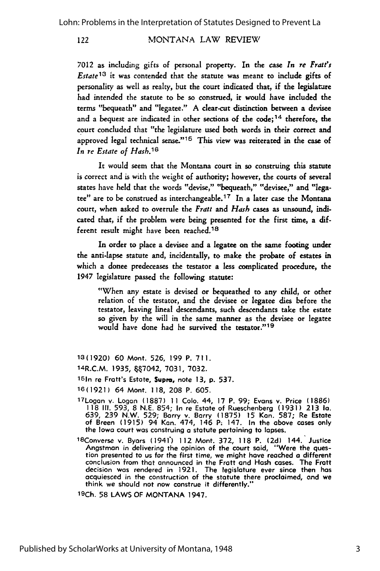7012 as including gifts of personal property. In the case *In re Fratt's Estate13* it was contended that the statute was meant to include gifts of personality as well as realty, but the court indicated that, if the legislature had intended the statute to be **so** construed, it would have included the terms "bequeath" and "legatee." A clear-cut distinction between a devisee and a bequest are indicated in other sections of the code; 14 therefore, the court concluded that "the legislature used both words in their correct and approved legal technical sense."<sup>15</sup> This view was reiterated in the case of *In re Estate of Hash.16*

It would seem that the Montana court in so construing this statute is correct and is with the weight of authority; however, the courts of several states have held that the words "devise," "bequeath," "devisee," and "legatee" are to be construed as interchangeable. 17 In a later case the Montana court, when asked to overrule the *Fratt and Hash* cases as unsound, indicated that, if the problem were being presented for the first time, a different result might have been reached.<sup>18</sup>

In order to place a devisee and a legatee on the same footing under the anti-lapse statute and, incidentally, to make the probate of estates in which a donee predeceases the testator a less complicated procedure, the 1947 legislature passed the following statute:

"When any estate is devised or bequeathed to any child, or other relation of the testator, and the devisee or legatee dies before the testator, leaving lineal descendants, such descendants take the estate so given by the will in the same manner as the devisee or legatee would have done had he survived the testator."<sup>19</sup>

**13(1920)** 60 Mont. 526, 199 P. 711.

14<mark>R.C.M. 1935, &&7042, 7031, 7032</mark>.

<sup>16</sup> 1n re Fratt's Estate, **Supra,** note **13, p.** 537.

**16 (1921)** 64 Mont. **118, 208** P. **605.**

- 17 Logan v. Logan **(1887) 11 Colo.** 44, **17** P. **99;** Evans v. Price **(1886) 118 III. 593, 8 N.E.** 854; In re Estate of Rueschenberg **(1931) 213 Ia.** 639, **239** N.W. **529;** Barry v. Barry **(1875) 15** Kan. **587;** Re Estate of Breen **(1915)** 94 Kan. 474, 146 P: 147. In the above cases only the Iowa court was construing a statute pertaining to lapses.
- <sup>1</sup><sup>8</sup> Converse v. Byars (1941) 112 Mont. **372, 118** P. **(2d)** 144. Justice Angstmon in delivering the opinion of the court said, "Were the question presented to us for the first time, we might have reached **a** different conclusion from that announced in the Fratt and Hash cases. The Fratt decision was rendered in **1921.** The legislature ever since then has acquiesced in the construction of the statute there proclaimed, ond we think we should not now construe it differently."

**19Ch. 58** LAWS OF **MONTANA** 1947.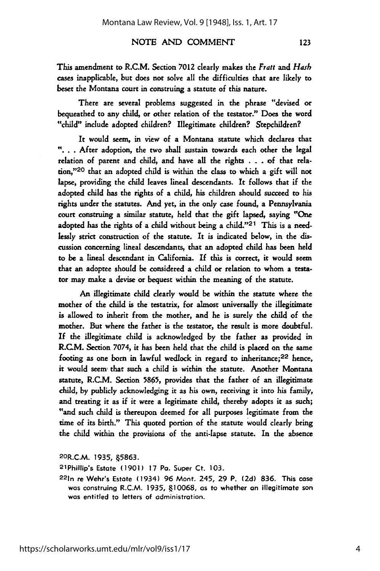This amendment to R.C.M. Section 7012 clearly makes the Fratt *and Hash* cases inapplicable, but does not solve all the difficulties that are likely to beset the Montana court in construing a statute of this nature.

There are several problems suggested in the phrase "devised or bequeathed to any child, or other relation of the testator." Does the word "child" include adopted children? Illegitimate children? Stepchildren?

It **would** seem, in view of a Montana statute which declares that **.** After adoption, the two shall sustain towards each other the legal relation of parent and child, and have **all** the rights **. . .** of that relation,"'20 that an adopted child is within the class to which a gift will not lapse, providing the child leaves lineal descendants. It follows that if the adopted child has the rights of a child, his children should succeed to his rights under the statutes. And yet, in the only case found, a Pennsylvania court construing a similar statute, held that the gift lapsed, saying "One adopted has the rights of a child without being a child."<sup>21</sup> This is a needlessly strict construction of the statute. It is indicated below, in the discussion concerning lineal descendants, that an adopted child has been held to be a lineal descendant in California. If this is correct, it would seem that an adoptee should be considered a child or relation to whom a testa**tor** may make a devise or bequest within the meaning of the statute.

An illegitimate child clearly would be within the statute where the mother of the child is the testatrix, for almost universally the illegitimate is allowed to inherit from the mother, and he is surely the child of the mother. But where the father is the testator, the result is more doubtful. If the illegitimate child is acknowledged by the father as provided in R.C.M. Section **7074,** it has been held that the child is placed on the same footing as one born in lawful wedlock in regard to inheritance;<sup>22</sup> hence, it would seem, that such a child is within the statute. Another Montana statute, R.C.M. Section 5865, provides that the father of an illegitimate child, by publicly acknowledging it as his own, receiving it into his family, and treating it as if it were a legitimate child, thereby adopts it as such; "and such child is thereupon deemed for all purposes legitimate from the time of its birth." This quoted portion of the statute would clearly bring the child within the provisions of the anti-lapse statute. In the absence

**<sup>2</sup> oR.C.M. 1935,** .5863.

2 1Phillip's Estate **(1901) 17** Pa. Super Ct. **103.**

**221n** re Wehr's Estate (1934) **96** Mont. 245, **29** P. **(2d) 836.** This case was construing R.C.M. **1935, .10068,** as to whether an illegitimate son was entitled to letters of administration.

123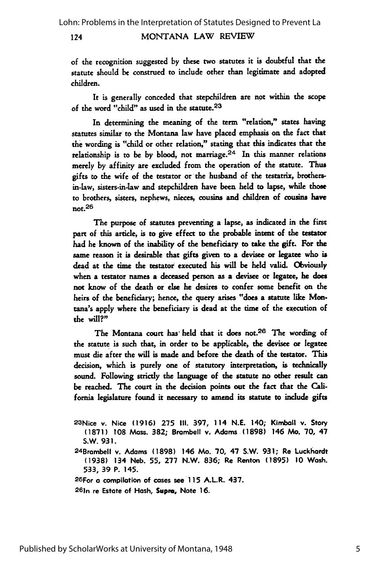of the recognition suggested by these two statutes it is doubtful that the statute should be construed to include other than legitimate and adopted children.

It is generally conceded that stepchildren are not within the scope of the word "child" as used in the statute.23

In determining the meaning of the term "relation," states having statutes similar to the Montana law have placed emphasis on the fact that the wording is "child or other relation," stating that this indicates that the relationship is to be by blood, not marriage. $24$  In this manner relations merely by affinity are excluded from the operation of the statute. Thus gifts to the wife of the testator or the husband of the testatrix, brothersin-law, sisters-in-law and stepchildren have been held to lapse, while those to brothers, sisters, nephews, nieces, cousins and children of cousins have not. $26$ 

The purpose of statutes preventing a lapse, as indicated in the first part of this article, is to give effect to the probable intent of the testator **had** he known of the inability of the beneficiary to take the gift. For the same reason it is desirable that **gifts given** to **a devisee or** legatee who is dead at the time the testator executed his will be held valid. Obviously when a testator names a deceased person as a devisee or legatee, he does not know of the death or else he desires to confer some benefit on the heirs of the beneficiary; hence, the query arises "does a statute like Montana's apply where the beneficiary is dead at the **time** of the execution of the will?"

The Montana court has held that it does not.<sup>26</sup> The wording of the statute is such that, in order to **be** applicable, the devisee or legatee must die after the will is made and before the death of the testator. This decision, which is purely one of statutory interpretation, is technically sound. Following strictly the language of the statute no other result can be reached. The court in the decision points out the fact that the California legislature found it necessary to amend its statute to include gifts

<sup>24</sup> Brambell v. Adams **(1898)** 146 Mo. **70,** 47 S.W. **931;** Re Luckhardt **(1938)** 134 Neb. **55, 277** N.W. **836;** Re Renton **(1895) 10** Wash. **533, 39** P. 145.

**2 6For a** compilation of cases see **11** 5 A.L.R. 437.

2 6 1n re Estate of Hash, **Supm,** Note **16.**

<sup>2 3</sup>Nice v. Nice **(1916) 275 III.** 397, 114 **N.E.** 140; Kimball v. Story **(1871) 108** Mass. **382;** Brombell v. **Adams (1898)** 146 Mo. **70,** 47 S.W. **931.**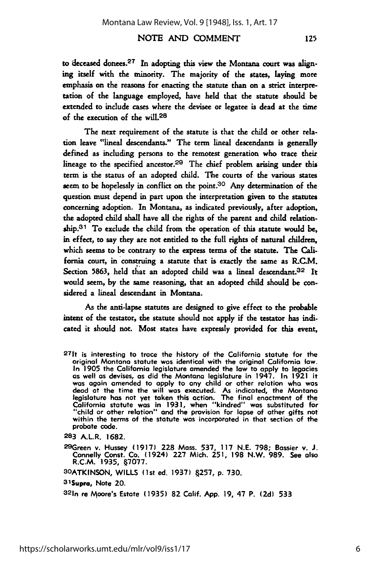The next requirement of the statute is that the child or other relation leave "lineal descendants." The term lineal descendants is generally defined as including persons to the remotest generation who trace their lineage to the specified ancestor.<sup>29</sup> The chief problem arising under this term is the status of an adopted child. The courts of the various states seem to be hopelessly in conflict on the point.<sup>30</sup> Any determination of the question must depend in part upon the interpretation given to the statutes concerning adoption. In Montana, as indicated previously, after adoption, the adopted child shall have all the rights of the parent and child relation**ship.3 1** To exclude the child from the operation of this statute would be, in effect, to say they are not entitled to the full rights of natural children, which seems to be contrary to the express terms of the statute. The California court, in construing a statute that is exactly the same as R.C.M. Section 5863, held that an adopted child was a lineal descendant.<sup>32</sup> It would seem, by the same reasoning, that an adopted child should be considered a lineal descendant in Montana.

As the anti-lapse statutes are designed to give effect to the probable intent of the testator, the statute should not apply if the testator has indicated it should not. Most states have expressly provided for this event,

**283** A.L.R. **1682.**

of the execution of the will.<sup>28</sup>

29Green v. Hussey **(1917) 228** Mass. **537, 117 N.E. 798;** Bossier v. **J.** Connelly Const. Co. (1924) **227** Mich. **251, 198** N.W. **989.** See also R.C.M. **1935, .7077.**

**3OATKINSON,** WILLS (1st ed. **1937)** .257, **p. 730.**

31Supra, Note 20.

3 2 1n re Moore's Estate **(1935) 82** Calif. **App. 19,** 47 P. **(2d) 533**

<sup>27</sup>It is interesting to trace the history of the California statute for the original Montana statute was identical with the original California law. In **1905** the California legislature amended the **low** to **apply** to legacies as well as devises, as did the Montana legislature in 1947. In **1921** it was again amended to **apply** to any child or other relation who was dead at the time the will was executed. As indicated, the Montana legislature has not yet token this action. The final enactment of the California statute was in **1931,** when "kindred" was substituted for "child or other relation" and the provision for lapse of other gifts not "child or other relation" and the provision for lapse of ather gifts not within the terms of the statute was incorporated in that section of the probate code.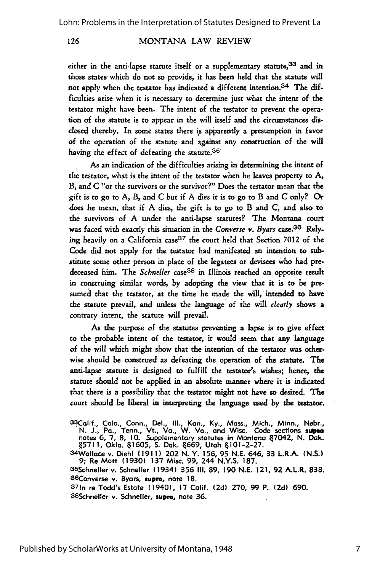either in the anti-lapse statute itself or a supplementary statute,<sup>33</sup> and in those states- which do not **so** provide, it has been held that the statute will not apply when the testator has indicated a different intention.34 The difficulties arise when it is necessary to determine just what the intent of the testator might have been. The intent of the testator to prevent the operation of the statute is to appear in the will itself and the circumstances disclosed thereby. In some states there is apparently a presumption in favor of the operation of the statute and against any construction of the will having the effect of defeating the statute.<sup>35</sup>

As an indication of the difficulties arising in determining the intent of the testator, what is the intent of the testator when he leaves property to A, B, and C "or the survivors or the survivor?" Does the testator mean that the gift is **to go** to A, B, and **C** but if **A** dies it is to go to B and **C** only? **Or** does he mean, that if A dies, the gift is to go to B and C, and also to the survivors of A under the anti-lapse statutes? The Montana court was faced with exactly this situation in the Converse *v. Byars* case.36 Relying heavily on a California  $case^{37}$  the court held that Section 7012 of the Code did not apply for the testator had manifested an intention to **sub**stitute some other person in place of the legatees or devisees who had predeceased him. The *Schneller* case<sup>38</sup> in Illinois reached an opposite result in construing similar words, by adopting the view that it is to be presumed that the testator, at the time he made the will, intended to have the statute prevail, and unless the language of the will *clearly* shows a contrary intent, the statute **will** prevail.

As the purpose of the statutes preventing a lapse is to give effect to the probable intent of the testator, it would seem that any language of the will which might show that the intention of the testator was otherwise should be construed as defeating the operation of the statute. The ani-lapse statute is designed to fulfill the testator's wishes; hence, the statute should not be applied in an absolute manner where it is indicated that there is a possibility that the testator might not have so desired. The court should be liberal in interpreting the language used by the testator.

33Colif., **Colo.,** Conn., Del., **Ill.,** Kan., **Ky.,** Mass., Mich., Minn., Nebr., N. J., Pa., Tenn., Vt., Va., W. Va., and Wisc. Code sections supportions in Montana 67042, N. Dak.<br>notes 6, 7, 8, 10. Supplementary statutes in Montana 67042, N. Dak. **.5711, Okla. 1605, S. Dak.** 4669, Utah 4101-2-27.

S4 Wallace v. Diehl **(1911)** 202 **N.** Y. **156, 95 N.E.** 646, **33** L.R.A. **(N.S.) 9;** Re Matt **(1930) 137** Misc. **99,** 244 **N.Y.S. 187.** <sup>36</sup> Schneller v. Schneller (1934) **356 III. 89, 190 N.E.** 121, **92** A.L.R. **838.**

86 Schneller v. Schneller (1934) 356 III, 89, 190 N.E. 121, 92 A.L.R. 838.<br><sup>86</sup> Converse v. Byars, **supra,** note 18.<br><sup>37</sup> In re Todd's Estate (1940), 17 Calif. (2d) 270, 99 P. (2d) 690.

3 8 Schneller v. Schneller, **supra,** note **36.**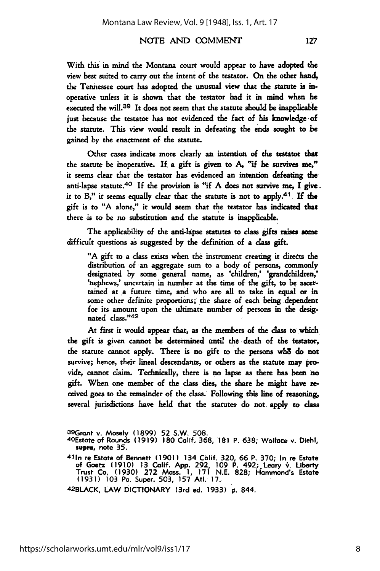With this in mind the Montana court would appear to have adopted the view best suited to carry out the intent of the testator. On the other hand, the Tennessee court has adopted the unusual view that the statute is inoperative unless it is shown that the testator had it in mind when he executed the will.<sup>39</sup> It does not seem that the statute should be inapplicable just because the testator has not evidenced the fact of his knowledge of the statute. This view would result in defeating the ends sought to be gained by the enactment of the statute.

Other cases indicate more dearly an intention of the testator that the statute be inoperative. **If** a gift is given to A, "if he survives me," it seems clear that the testator has evidenced an intention defeating the anti-lapse statute.<sup>40</sup> If the provision is "if A does not survive me, I give. it to B," it seems equally clear that the statute is not to apply.<sup>41</sup>. If the gift is to "A alone," it would seem that the testator has indicated **that** there is to be no substitution and the statute is inapplicable.

The applicability of the anti-lapse statutes to class gifts raises some difficult questions as suggested **by** the definition of a **class** gift.

**"A** gift to a class exists when the instrument creating it directs the distribution of an aggregate sum to a body of persons, commonly designated by some general name, as 'children,' 'grandchildren,' 'nephews,' uncertain in number at the time of the gift, to be ascertained at a future time, and who are all to take in equal or in some other definite proportions; the share of each being dependent for its amount upon the ultimate number of persons in the designated **dass."42**

At first it would appear that, as the members of the class to which the gift is given cannot be determined until the death of the testator, the statute cannot apply. There is no gift to the persons wh8 do not survive; hence, their lineal descendants, or others as the statute may provide, cannot claim. Technically, there is no lapse as there has been no gift. When one member of the class dies, the share he might have received goes to the remainder of the class. Following this line of reasoning, several jurisdictions have held that the statutes do not apply to class

42BLACK, LAW DICTIONARY (3rd ed. **1933) p.** 844.

<sup>3 9</sup>Grant v. Mosely **(1899) 52** S.W. **508.** 4OEstate of Rounds **(1919) 180** Calif. **368, 181** P. **638;** Wallace v. Diehl, **supra,** note **35.**

<sup>4</sup> <sup>1</sup> 1n re Estate of Bennett **(1901)** 134 Calif. **320,** 66 P. **370;** In re Estate of Goetz **(1910) 13 Calif. App. 292, 109** P. 492; Leary **".** Liberty Trust Co. **(1930) 272** Mass. **1, 171 N.E. 828;** Hammond's Estate **(1931) 103** Pa. Super. **503, 157** AtI. **17.**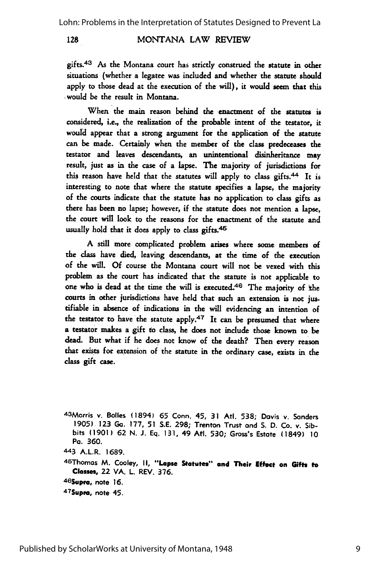gifts.<sup>43</sup> As the Montana court has strictly construed the statute in other situations (whether a legatee was included and whether the statute should apply to those dead at the execution of the will), it would seem that this **would** be the result in Montana.

When the main reason behind the enactment of the statutes is considered, i.e., the realization of the probable intent of the testator, it would appear that a strong argument for the application of the statute can be made. Certainly when the member of the class predeceases the testator and leaves descendants, an unintentional disinheritance may result, just as in the case of a lapse. The majority of jurisdictions for this reason have held that the statutes will apply to class gifts.<sup>44</sup> It is interesting to note that where the statute specifies a lapse, the majority of the courts indicate that the statute has no application to class gifts as there has been no lapse; however, if the statute does not mention a lapse, the court will look to the reasons for the enactment of the statute and usually hold that it does apply to class gifts.<sup>45</sup>

A **still** more complicated problem arises where some members of the class have died, leaving descendants, at the time of the execution of the will. **Of** course the Montana court will not be vexed with this problem as the court has indicated that the statute is not applicable to one who is dead at the time the will is executed.<sup>46</sup> The majority of the courts in other jurisdictions have held that such an extension is not justifiable in absence of indications in the will evidencing an intention of the testator to have the statute apply.<sup>47</sup> It can be presumed that where a testator makes a gift to class, he does not include those known to be dead. But what if he does not know of the death? Then every reason that exists for extension of the statute in the ordinary case, exists in the class gift case.

4 3 Morris v. Bolles (1894) **65** Conn. 45, **31** Atl. **538;** Davis v. Sanders **1905) 123 Ga. 177, 51 S.E. 298;** Trenton Trust and **S. D.** Co. **v.** Sibbits **(1901) 62 N. J. Eq. 131,** 49 At. **530;** Gross's Estate (1849) **10** Pa. **360.**

**443** A.L.R. **1689.**

4 5Thomas M. Cooley, **II, "Lapse** Statutes" **and** Their Effect on **Gifts to** Classes, 22 VA. L. REV. **376.**

46 Supra, note 16.

**<sup>4</sup> 7Supre,** note 45.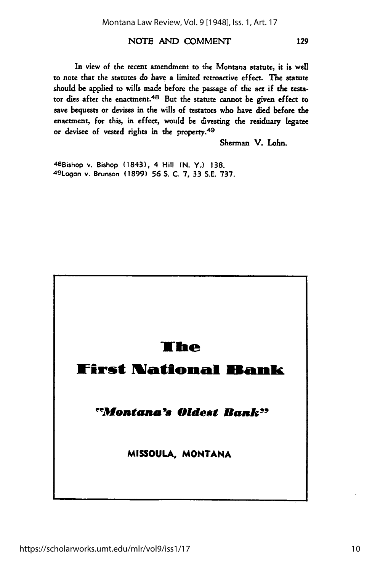In view of the recent amendment to the Montana statute, it is well to note that the statutes do have a limited retroactive effect. The statute should be applied to wills made before the passage of the act if the testator dies after the enactment.<sup>48</sup> But the statute cannot be given effect to save bequests or devises in the wills of testators who have died before the enactment, **for** this, in effect, would be divesting the residuary legatee or devisee of vested rights in the property.<sup>49</sup>

Sherman V. Lohn.

<sup>48</sup> Bishop v. Bishop (1843), 4 Hill **(N. Y.) 138.** 4 9 Logon v. Brunson **(1899) 56 S. C. 7, 33 S.E. 737.**